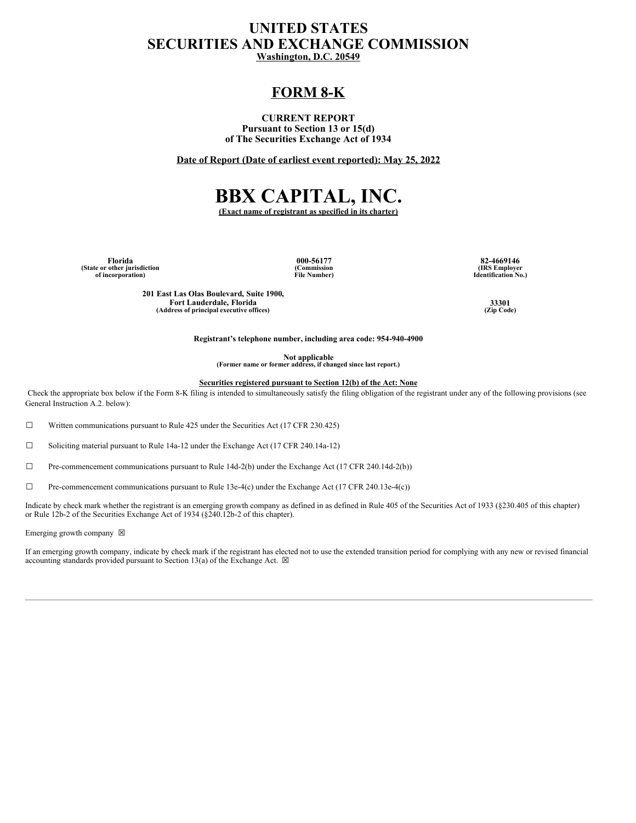## **UNITED STATES SECURITIES AND EXCHANGE COMMISSION Washington, D.C. 20549**

## **FORM 8-K**

### **CURRENT REPORT Pursuant to Section 13 or 15(d) of The Securities Exchange Act of 1934**

**Date of Report (Date of earliest event reported): May 25, 2022**

# **BBX CAPITAL, INC.**

**(Exact name of registrant as specified in its charter)**

**(State or other jurisdiction of incorporation)**

**(Commission File Number)**

**Florida 000-56177 82-4669146 (IRS Employer Identification No.)**

**201 East Las Olas Boulevard, Suite 1900, Fort Lauderdale, Florida 33301 (Address of principal executive offices) (Zip Code)**

**Registrant's telephone number, including area code: 954-940-4900**

**Not applicable (Former name or former address, if changed since last report.)**

**Securities registered pursuant to Section 12(b) of the Act: None**

Check the appropriate box below if the Form 8-K filing is intended to simultaneously satisfy the filing obligation of the registrant under any of the following provisions (see General Instruction A.2. below):

 $\Box$  Written communications pursuant to Rule 425 under the Securities Act (17 CFR 230.425)

☐ Soliciting material pursuant to Rule 14a-12 under the Exchange Act (17 CFR 240.14a-12)

 $\Box$  Pre-commencement communications pursuant to Rule 14d-2(b) under the Exchange Act (17 CFR 240.14d-2(b))

☐ Pre-commencement communications pursuant to Rule 13e-4(c) under the Exchange Act (17 CFR 240.13e-4(c))

Indicate by check mark whether the registrant is an emerging growth company as defined in as defined in Rule 405 of the Securities Act of 1933 (§230.405 of this chapter) or Rule 12b-2 of the Securities Exchange Act of 1934 (§240.12b-2 of this chapter).

Emerging growth company  $~\boxtimes~$ 

If an emerging growth company, indicate by check mark if the registrant has elected not to use the extended transition period for complying with any new or revised financial accounting standards provided pursuant to Section 13(a) of the Exchange Act.  $\boxtimes$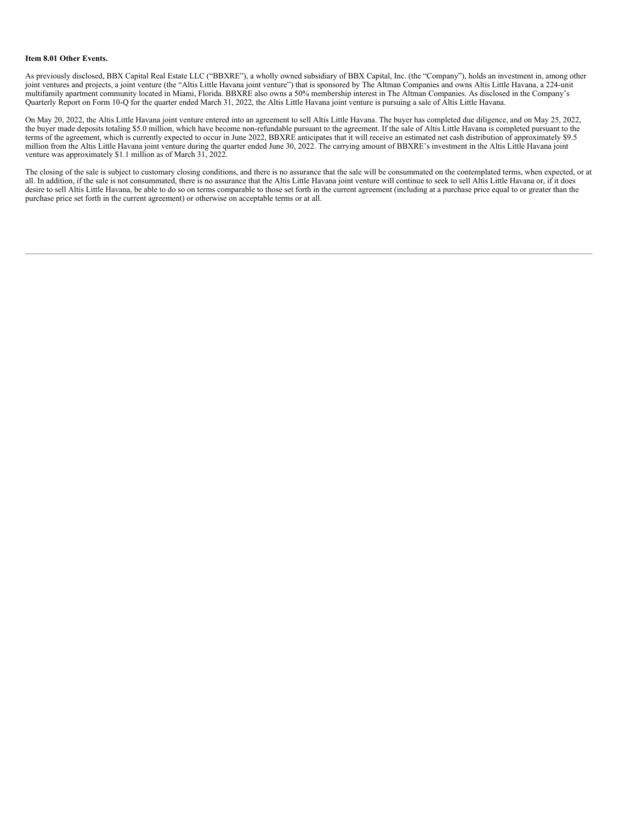#### **Item 8.01 Other Events.**

As previously disclosed, BBX Capital Real Estate LLC ("BBXRE"), a wholly owned subsidiary of BBX Capital, Inc. (the "Company"), holds an investment in, among other joint ventures and projects, a joint venture (the "Altis Little Havana joint venture") that is sponsored by The Altman Companies and owns Altis Little Havana, a 224-unit multifamily apartment community located in Miami, Florida. BBXRE also owns a 50% membership interest in The Altman Companies. As disclosed in the Company's Quarterly Report on Form 10-Q for the quarter ended March 31, 2022, the Altis Little Havana joint venture is pursuing a sale of Altis Little Havana.

On May 20, 2022, the Altis Little Havana joint venture entered into an agreement to sell Altis Little Havana. The buyer has completed due diligence, and on May 25, 2022, the buyer made deposits totaling \$5.0 million, which have become non-refundable pursuant to the agreement. If the sale of Altis Little Havana is completed pursuant to the terms of the agreement, which is currently expected to occur in June 2022, BBXRE anticipates that it will receive an estimated net cash distribution of approximately \$9.5 million from the Altis Little Havana joint venture during the quarter ended June 30, 2022. The carrying amount of BBXRE's investment in the Altis Little Havana joint venture was approximately \$1.1 million as of March 31, 2022.

The closing of the sale is subject to customary closing conditions, and there is no assurance that the sale will be consummated on the contemplated terms, when expected, or at all. In addition, if the sale is not consummated, there is no assurance that the Altis Little Havana joint venture will continue to seek to sell Altis Little Havana or, if it does desire to sell Altis Little Havana, be able to do so on terms comparable to those set forth in the current agreement (including at a purchase price equal to or greater than the purchase price set forth in the current agreement) or otherwise on acceptable terms or at all.